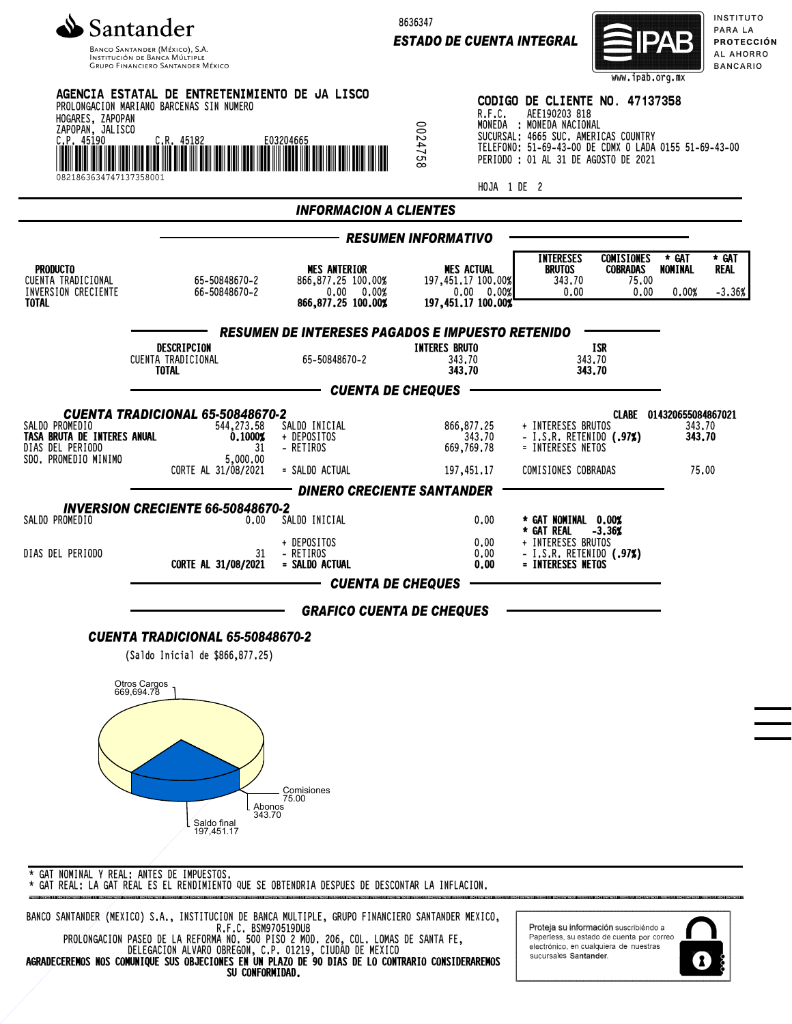

Banco Santander (México), S.A.<br>Institución de Banca Múltiple<br>Grupo Financiero Santander México

8636347

*ESTADO DE CUENTA INTEGRAL*



INSTITUTO PARA LA **PROTECCIÓN** AL AHORRO **BANCARIO** 

|                                                                                           |                                                                                                          |                                                                                |                                                                                        |                       |                                                                                                                                                                                                                      | www.1pab.org.mx                                |                                                       |                                  |
|-------------------------------------------------------------------------------------------|----------------------------------------------------------------------------------------------------------|--------------------------------------------------------------------------------|----------------------------------------------------------------------------------------|-----------------------|----------------------------------------------------------------------------------------------------------------------------------------------------------------------------------------------------------------------|------------------------------------------------|-------------------------------------------------------|----------------------------------|
| HOGARES, ZAPOPAN<br>ZAPOPAN, JALISCO<br>C.P. 45190<br>0821863634747137358001              | AGENCIA ESTATAL DE ENTRETENIMIENTO DE JA LISCO<br>PROLONGACION MARIANO BARCENAS SIN NUMERO<br>C.R. 45182 | E03204665                                                                      | 0024758                                                                                | R.F.C.<br>HOJA 1 DE 2 | CODIGO DE CLIENTE NO. 47137358<br>AEE190203 818<br>MONEDA : MONEDA NACIONAL<br>SUCURSAL: 4665 SUC. AMERICAS COUNTRY<br>TELEFONO: 51-69-43-00 DE CDMX O LADA 0155 51-69-43-00<br>PERIODO : 01 AL 31 DE AGOSTO DE 2021 |                                                |                                                       |                                  |
|                                                                                           |                                                                                                          | <b>INFORMACION A CLIENTES</b>                                                  |                                                                                        |                       |                                                                                                                                                                                                                      |                                                |                                                       |                                  |
|                                                                                           |                                                                                                          |                                                                                |                                                                                        |                       |                                                                                                                                                                                                                      |                                                |                                                       |                                  |
| <b>PRODUCTO</b><br>CUENTA TRADICIONAL<br>INVERSION CRECIENTE<br><b>TOTAL</b>              | 65-50848670-2<br>66-50848670-2                                                                           | <b>MES ANTERIOR</b><br>866,877.25 100.00%<br>0.00 0.00%<br>866, 877.25 100.00% | - RESUMEN INFORMATIVO<br><b>MES ACTUAL</b><br>197,451,17 100,00%<br>197,451.17 100.00% | 0.00 0.00%            | <b>INTERESES</b><br><b>BRUTOS</b><br>343.70<br>0.00                                                                                                                                                                  | <b>COMISIONES</b><br>COBRADAS<br>75.00<br>0.00 | * GAT<br>NOMINAL<br>0.00%                             | * GAT<br><b>REAL</b><br>$-3.36%$ |
|                                                                                           |                                                                                                          | <b>RESUMEN DE INTERESES PAGADOS E IMPUESTO RETENIDO</b>                        |                                                                                        |                       |                                                                                                                                                                                                                      |                                                |                                                       |                                  |
|                                                                                           | DESCRIPCION<br>CUENTA TRADICIONAL<br><b>TOTAL</b>                                                        | 65-50848670-2                                                                  | <b>INTERES BRUTO</b><br>343.70<br>343.70                                               |                       | 343.70                                                                                                                                                                                                               | ISR<br>343.70                                  |                                                       |                                  |
|                                                                                           |                                                                                                          | —— CUENTA DE CHEQUES                                                           |                                                                                        |                       |                                                                                                                                                                                                                      |                                                |                                                       |                                  |
| SALDO PROMEDIO<br>TASA BRUTA DE INTERES ANUAL<br>DIAS DEL PERIODO<br>SDO. PROMEDIO MINIMO | CUENTA TRADICIONAL 65-50848670-2<br>544,273.58<br>0.1000%<br>31<br>5,000.00<br>CORTE AL 31/08/2021       | SALDO INICIAL<br>+ DEPOSITOS<br>- RETIROS<br>= SALDO ACTUAL                    | 866,877.25<br>669,769.78<br>197,451.17                                                 | 343.70                | + INTERESES BRUTOS<br>- I.S.R. RETENIDO $(.97%)$<br>= INTERESES NETOS<br>COMISIONES COBRADAS                                                                                                                         |                                                | CLABE 014320655084867021<br>343.70<br>343.70<br>75.00 |                                  |
|                                                                                           |                                                                                                          | <b>DINERO CRECIENTE SANTANDER</b>                                              |                                                                                        |                       |                                                                                                                                                                                                                      |                                                |                                                       |                                  |
| SALDO PROMEDIO                                                                            | <b>INVERSION CRECIENTE 66-50848670-2</b><br>0.00                                                         | SALDO INICIAL                                                                  |                                                                                        | 0.00                  | * GAT NOMINAL 0.00%<br>* GAT REAL -3.36%                                                                                                                                                                             |                                                |                                                       |                                  |
| DIAS DEL PERIODO                                                                          | 31<br>CORTE AL 31/08/2021                                                                                | + DEPOSITOS<br>- RETIROS<br>= SALDO ACTUAL                                     |                                                                                        | 0.00<br>0.00<br>0.00  | + INTERESES BRUTOS<br>- I.S.R. RETENIDO (.97%)<br>= INTERESES NETOS                                                                                                                                                  |                                                |                                                       |                                  |
|                                                                                           |                                                                                                          | <b>CUENTA DE CHEQUES</b>                                                       |                                                                                        |                       |                                                                                                                                                                                                                      |                                                |                                                       |                                  |
|                                                                                           |                                                                                                          | <b>GRAFICO CUENTA DE CHEQUES</b>                                               |                                                                                        |                       |                                                                                                                                                                                                                      |                                                |                                                       |                                  |
|                                                                                           | CUENTA TRADICIONAL 65-50848670-2                                                                         |                                                                                |                                                                                        |                       |                                                                                                                                                                                                                      |                                                |                                                       |                                  |
|                                                                                           | (Saldo Inicial de \$866,877.25)<br>Otros Cargos<br>669,694.78                                            |                                                                                |                                                                                        |                       |                                                                                                                                                                                                                      |                                                |                                                       |                                  |
|                                                                                           | Abonos<br>343.70<br>Saldo final<br>197,451.17                                                            | Comisiones<br>75.00                                                            |                                                                                        |                       |                                                                                                                                                                                                                      |                                                |                                                       |                                  |
|                                                                                           | * GAT NOMINAL Y REAL . ANTES DE IMPLIESTOS                                                               |                                                                                |                                                                                        |                       |                                                                                                                                                                                                                      |                                                |                                                       |                                  |

\* GAT NOMINAL Y REAL: ANTES DE IMPUESTOS. \* GAT REAL: LA GAT REAL ES EL RENDIMIENTO QUE SE OBTENDRIA DESPUES DE DESCONTAR LA INFLACION.

BANCO SANTANDER (MEXICO) S.A., INSTITUCION DE BANCA MULTIPLE, GRUPO FINANCIERO SANTANDER MEXICO, R.F.C. BSM970519DU8 PROLONGACION PASEO DE LA REFORMA NO. 500 PISO 2 MOD. 206, COL. LOMAS DE SANTA FE,

DELEGACION ALVARO OBREGON, C.P. 01219, CIUDAD DE MEXICO AGRADECEREMOS NOS COMUNIQUE SUS OBJECIONES EN UN PLAZO DE 90 DIAS DE LO CONTRARIO CONSIDERAREMOS SU CONFORMIDAD.

Proteja su información suscribiendo a Paperless, su estado de cuenta por correo<br>electrónico, en cualquiera de nuestras sucursales Santander.

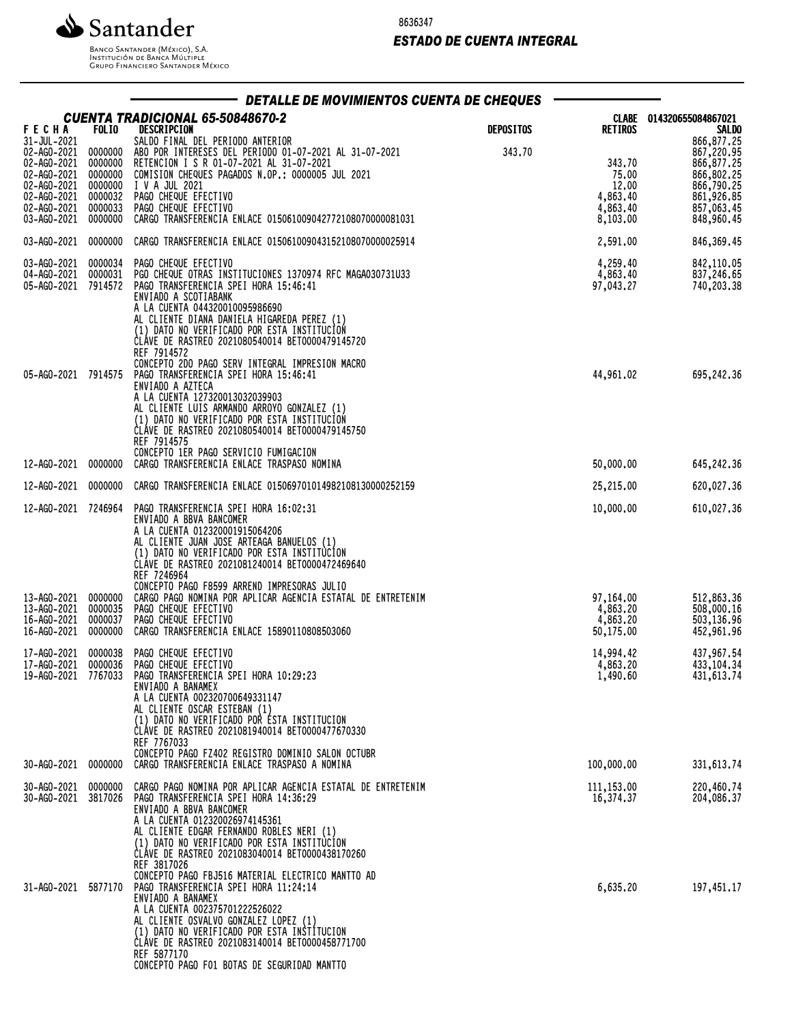

8636347

## *ESTADO DE CUENTA INTEGRAL*

Banco Santander (México), S.A.<br>Institución de Banca Múltiple<br>Grupo Financiero Santander México

| DETALLE DE MOVIMIENTOS CUENTA DE CHEQUES                                                                                                                     |                    |                                                                                                                                                                                                                                                                                                                                                                                                        |                  |                                                              |                                                                                                              |  |
|--------------------------------------------------------------------------------------------------------------------------------------------------------------|--------------------|--------------------------------------------------------------------------------------------------------------------------------------------------------------------------------------------------------------------------------------------------------------------------------------------------------------------------------------------------------------------------------------------------------|------------------|--------------------------------------------------------------|--------------------------------------------------------------------------------------------------------------|--|
| <b>FECHA</b>                                                                                                                                                 | <b>FOLIO</b>       | CUENTA TRADICIONAL 65-50848670-2<br>DESCRIPCION                                                                                                                                                                                                                                                                                                                                                        | <b>DEPOSITOS</b> | CLABE<br><b>RETIROS</b>                                      | 014320655084867021<br><b>SALDO</b>                                                                           |  |
| 31-JUL-2021<br>02-AG0-2021 0000000<br>02-AG0-2021 0000000<br>02-AG0-2021 0000000<br>02-AG0-2021<br>02-AG0-2021 0000032<br>02-AG0-2021 0000033<br>03-AG0-2021 | 0000000<br>0000000 | SALDO FINAL DEL PERIODO ANTERIOR<br>ABO POR INTERESES DEL PERIODO 01-07-2021 AL 31-07-2021<br>RETENCION I S R 01-07-2021 AL 31-07-2021<br>COMISION CHEQUES PAGADOS N.OP.: 0000005 JUL 2021<br>I V A JUL 2021<br>PAGO CHEQUE EFECTIVO<br>PAGO CHEQUE EFECTIVO<br>CARGO TRANSFERENCIA ENLACE 015061009042772108070000081031                                                                              | 343.70           | 343.70<br>75.00<br>12.00<br>4,863.40<br>4,863.40<br>8,103.00 | 866,877.25<br>867,220.95<br>866,877.25<br>866,802.25<br>866,790.25<br>861,926.85<br>857,063.45<br>848,960.45 |  |
| 03-AG0-2021 0000000                                                                                                                                          |                    | CARGO TRANSFERENCIA ENLACE 015061009043152108070000025914                                                                                                                                                                                                                                                                                                                                              |                  | 2,591.00                                                     | 846,369.45                                                                                                   |  |
| 03-AG0-2021 0000034<br>04-AG0-2021<br>05-AGO-2021                                                                                                            | 0000031<br>7914572 | PAGO CHEQUE EFECTIVO<br>PGO CHEQUE OTRAS INSTITUCIONES 1370974 RFC MAGA030731U33<br>PAGO TRANSFERENCIA SPEI HORA 15:46:41<br>ENVIADO A SCOTIABANK<br>A LA CUENTA 044320010095986690<br>AL CLIENTE DIANA DANIELA HIGAREDA PEREZ (1)<br>(1) DATO NO VERIFICADO POR ESTA INSTITUCIOŃ<br>CLÁVE DE RASTREO 2021080540014 BET0000479145720<br>REF 7914572                                                    |                  | 4,259.40<br>4,863.40<br>97,043.27                            | 842,110.05<br>837,246.65<br>740,203.38                                                                       |  |
| 05-AGO-2021 7914575                                                                                                                                          |                    | CONCEPTO 2DO PAGO SERV INTEGRAL IMPRESION MACRO<br>PAGO TRANSFERENCIA SPEI HORA 15:46:41<br>ENVIADO A AZTECA<br>A LA CUENTA 127320013032039903<br>AL CLIENTE LUIS ARMANDO ARROYO GONZALEZ (1)<br>(1) DATO NO VERIFICADO POR ESTA INSTITUCION<br>CLÁVE DE RASTREO 2021080540014 BET0000479145750<br>REF 7914575<br>CONCEPTO 1ER PAGO SERVICIO FUMIGACION                                                |                  | 44,961.02                                                    | 695,242.36                                                                                                   |  |
| 12-AGO-2021                                                                                                                                                  | 0000000            | CARGO TRANSFERENCIA ENLACE TRASPASO NOMINA                                                                                                                                                                                                                                                                                                                                                             |                  | 50,000.00                                                    | 645,242.36                                                                                                   |  |
| 12-AG0-2021                                                                                                                                                  | 0000000            | CARGO TRANSFERENCIA ENLACE 015069701014982108130000252159                                                                                                                                                                                                                                                                                                                                              |                  | 25,215.00                                                    | 620,027.36                                                                                                   |  |
| 12-AG0-2021 7246964<br>13-AG0-2021 0000000<br>13-AG0-2021 0000035                                                                                            |                    | PAGO TRANSFERENCIA SPEI HORA 16:02:31<br>ENVIADO A BBVA BANCOMER<br>A LA CUENTA 012320001915064206<br>AL CLIENTE JUAN JOSE ARTEAGA BANUELOS (1)<br>(1) DATO NO VERIFICADO POR ESTA INSTITÚCION<br>CLÁVE DE RASTREO 2021081240014 BET0000472469640<br>REF 7246964<br>CONCEPTO PAGO F8599 ARREND IMPRESORAS JULIO<br>CARGO PAGO NOMINA POR APLICAR AGENCIA ESTATAL DE ENTRETENIM<br>PAGO CHEQUE EFECTIVO |                  | 10,000.00<br>97,164.00<br>4,863.20                           | 610,027.36<br>512,863.36<br>508,000.16                                                                       |  |
| 16-AGO-2021<br>16-AGO-2021                                                                                                                                   | 0000037<br>0000000 | PAGO CHEQUE EFECTIVO<br>CARGO TRANSFERENCIA ENLACE 15890110808503060                                                                                                                                                                                                                                                                                                                                   |                  | 4,863.20<br>50,175.00                                        | 503,136.96<br>452,961.96                                                                                     |  |
| 17-AGO-2021<br>17-AGO-2021<br>19-AG0-2021 7767033                                                                                                            | 0000038<br>0000036 | PAGO CHEQUE EFECTIVO<br>PAGO CHEQUE EFECTIVO<br>PAGO TRANSFERENCIA SPEI HORA 10:29:23<br>ENVIADO A BANAMEX<br>A LA CUENTA 002320700649331147<br>AL CLIENTE OSCAR ESTEBAN (1)<br>(1) DATO NO VERIFICADO POR ÉSTA INSTITUCION<br>CLÁVE DE RASTREO 2021081940014 BET0000477670330<br>REF 7767033                                                                                                          |                  | 14,994.42<br>4,863.20<br>1,490.60                            | 437,967.54<br>433, 104. 34<br>431,613.74                                                                     |  |
| 30-AG0-2021 0000000                                                                                                                                          |                    | CONCEPTO PAGO FZ402 REGISTRO DOMINIO SALON OCTUBR<br>CARGO TRANSFERENCIA ENLACE TRASPASO A NOMINA                                                                                                                                                                                                                                                                                                      |                  | 100,000.00                                                   | 331,613.74                                                                                                   |  |
| 30-AGO-2021<br>30-AGO-2021                                                                                                                                   | 0000000<br>3817026 | CARGO PAGO NOMINA POR APLICAR AGENCIA ESTATAL DE ENTRETENIM<br>PAGO TRANSFERENCIA SPEI HORA 14:36:29<br>ENVIADO A BBVA BANCOMER<br>A LA CUENTA 012320026974145361<br>AL CLIENTE EDGAR FERNANDO ROBLES NERI (1)<br>(1) DATO NO VERIFICADO POR ESTA INSTITUCION<br>CLÁVE DE RASTREO 2021083040014 BET0000438170260<br>REF 3817026                                                                        |                  | 111,153.00<br>16,374.37                                      | 220,460.74<br>204,086.37                                                                                     |  |
| 31-AG0-2021 5877170                                                                                                                                          |                    | CONCEPTO PAGO FBJ516 MATERIAL ELECTRICO MANTTO AD<br>PAGO TRANSFERENCIA SPEI HORA 11:24:14<br>ENVIADO A BANAMEX<br>A LA CUENTA 002375701222526022<br>AL CLIENTE OSVALVO GONZALEZ LOPEZ (1)<br>(1) DATO NO VERIFICADO POR ESTA INSTÍTUCION<br>CLAVE DE RASTREO 2021083140014 BET0000458771700<br>REF 5877170<br>CONCEPTO PAGO FO1 BOTAS DE SEGURIDAD MANTTO                                             |                  | 6,635.20                                                     | 197,451.17                                                                                                   |  |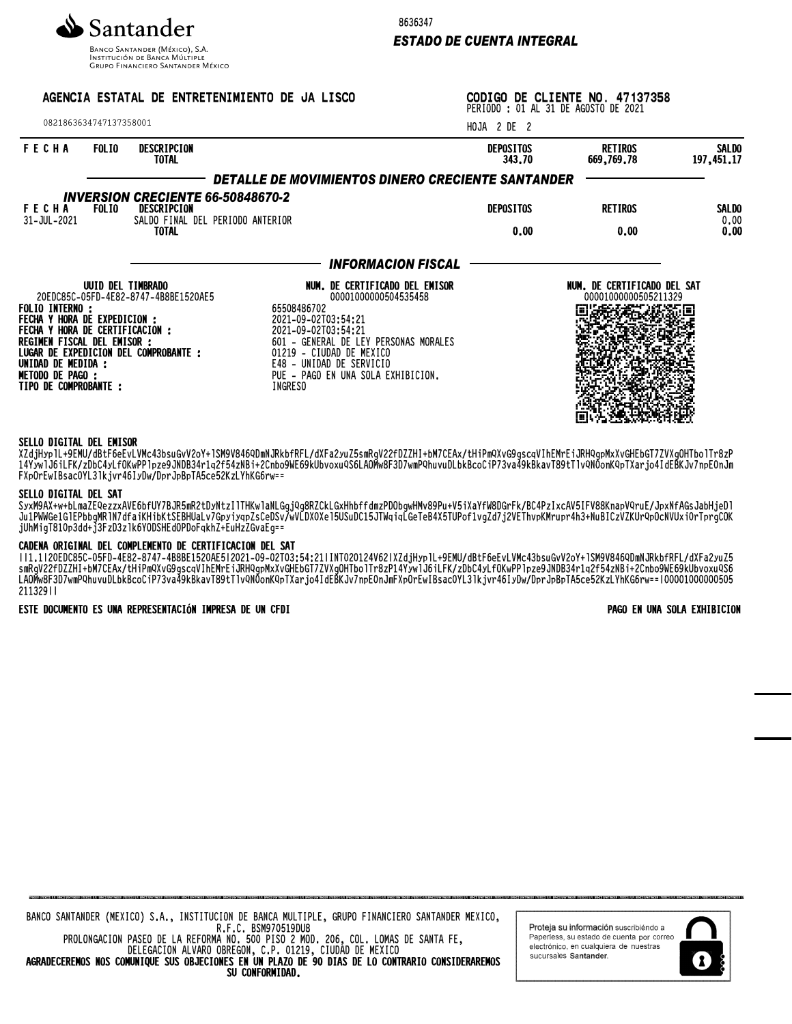

**INSTITUCIÓN DE BANCA MÚLTIPLE**<br>INSTITUCIÓN DE BANCA MÚLTIPLE<br>GRUPO FINANCIERO SANTANDER MÉXICO

8636347

# *ESTADO DE CUENTA INTEGRAL*

| AGENCIA ESTATAL DE ENTRETENIMIENTO DE JA LISCO<br>0821863634747137358001                                                                                 |                   |                                                                                                                  |                                                                                                                                                                                                                                                                       | CODIGO DE CLIENTE NO. 47137358<br>PERIODO : 01 AL 31 DE AGOSTO DE 2021 |                                                     |                              |  |  |
|----------------------------------------------------------------------------------------------------------------------------------------------------------|-------------------|------------------------------------------------------------------------------------------------------------------|-----------------------------------------------------------------------------------------------------------------------------------------------------------------------------------------------------------------------------------------------------------------------|------------------------------------------------------------------------|-----------------------------------------------------|------------------------------|--|--|
|                                                                                                                                                          |                   |                                                                                                                  |                                                                                                                                                                                                                                                                       | HOJA 2 DE 2                                                            |                                                     |                              |  |  |
| <b>FECHA</b>                                                                                                                                             | <b>FOLIO</b>      | DESCRIPCION<br><b>TOTAL</b>                                                                                      |                                                                                                                                                                                                                                                                       | <b>DEPOSITOS</b><br>343.70                                             | RETIROS<br>669,769,78                               | <b>SALDO</b><br>197, 451, 17 |  |  |
|                                                                                                                                                          |                   |                                                                                                                  | DETALLE DE MOVIMIENTOS DINERO CRECIENTE SANTANDER                                                                                                                                                                                                                     |                                                                        |                                                     |                              |  |  |
| <b>FECHA</b><br>31-JUL-2021                                                                                                                              | <b>FOLIO</b>      | <b>INVERSION CRECIENTE 66-50848670-2</b><br>DESCRIPCION<br>SALDO FINAL DEL PERIODO ANTERIOR                      |                                                                                                                                                                                                                                                                       | <b>DEPOSITOS</b>                                                       | <b>RETIROS</b>                                      | SALDO<br>0,00                |  |  |
|                                                                                                                                                          |                   | <b>TOTAL</b>                                                                                                     |                                                                                                                                                                                                                                                                       | 0.00                                                                   | 0.00                                                | 0,00                         |  |  |
|                                                                                                                                                          |                   |                                                                                                                  | <b>INFORMACION FISCAL</b>                                                                                                                                                                                                                                             |                                                                        |                                                     |                              |  |  |
| <b>FOLIO INTERNO :</b><br>FECHA Y HORA DE EXPEDICION :<br>REGIMEN FISCAL DEL EMISOR :<br>UNIDAD DE MEDIDA :<br>METODO DE PAGO :<br>TIPO DE COMPROBANTE : | UUID DEL TIMBRADO | 20EDC85C-05FD-4E82-8747-4B8BE1520AE5<br>FECHA Y HORA DE CERTIFICACION :<br>LUGAR DE EXPEDICION DEL COMPROBANTE : | NUM. DE CERTIFICADO DEL EMISOR<br>00001000000504535458<br>65508486702<br>2021-09-02T03:54:21<br>2021-09-02T03:54:21<br>601 - GENERAL DE LEY PERSONAS MORALES<br>01219 - CIUDAD DE MEXICO<br>E48 - UNIDAD DE SERVICIO<br>PUE - PAGO EN UNA SOLA EXHIBICION.<br>INGRESO |                                                                        | NUM. DE CERTIFICADO DEL SAT<br>00001000000505211329 |                              |  |  |

#### SELLO DIGITAL DEL EMISOR

XZQjHypIL+9EMU/QDtF0eEvLVMC43DSUGVVZOY+lSM9V84OYUMNJRKDTRFL/QAFdZyUZ5SMRQVZZTUZZHI+DM/CEAX/tH1PMXVG9GSCQVINEMTE1JRHYQpMXAVGHEDGI/ZVXQUHIDOIIF8ZP 14YywlJ6iLFK/zDbC4yLfOKwPPlpze9JNDB34r1q2f54zNBi+2Cnbo9WE69kUbvoxuQS6LAOMw8F3D7wmPQhuvuDLbkBcoCiP73va49kBkavT89tTlvQN0onKQpTXarjo4IdEBKJv7npE0nJm FXpOrEwIBsac0YL3lkjvr46IyDw/DprJpBpTA5ce52KzLYhKG6rw==

#### SELLO DIGITAL DEL SAT

SyxM9AX+w+bLmaZEQezzxAVE6bfUY7BJR5mR2tDyNtzIlTHKwlaNLGgjQg8RZCkLGxHhbffdmzPDObgwHMv89Pu+V5iXaYfW8DGrFk/BC4PzIxcAV5IFV88KnapVQruE/JpxNfAGsJabHjeDl Ju1PWWGe1GlEPbbgMRlN7dfaiKHibKtSEBHUaLv7GpyiyqpZsCeDSv/wVLDX0Xel5USuDC15JTWqiqLGeTeB4X5TUPof1vgZd7j2VEThvpKMrupr4h3+NuBICzVZKUrQpOcNVUxi0rTprgCOK jUhMigT810p3dd+j3FzD3zlk6YODSHEdOPDoFqkhZ+EuHzZGvaEg==

#### CADENA ORIGINAL DEL COMPLEMENTO DE CERTIFICACION DEL SAT

||1.1|20EDC85C-05FD-4E82-8747-4B8BE1520AE5|2021-09-02T03:54:21|INT020124V62|XZdjHyplL+9EMU/dBtF6eEvLVMc43bsuGvV2oY+lSM9V846QDmNJRkbfRFL/dXFa2yuZ5 SMRGVZZTDZZHI+DM/CEAX/tHIPMVAVG9GSCQVINEMTEIJRHVQPMXAVGHEDGI/ZVAGUHIDOIIIT8ZP14YYWIJOILFK/ZDDC4YLTUKWPPIPZE9JNDB34T1QZT34ZNBI+ZCNDO9WE09KUBVOXUY30 LAUMW8F3D/WMPQNUUDUDKBCOCIP/3Vd49KBKdVl89tTlVQNUONNQPIAdrjO4IQEBKJV/NPEVNJMFAPUrEWIBSACVYL3IKjVr40IYDW/DPrJPBPIA3Ce3ZKZLYNNaOrw==|UUUUUUUUUUUUUOUO 211329||

### ESTE DOCUMENTO ES UNA REPRESENTACIÓN IMPRESA DE UN CFDI PAGO EN UNA SOLA EXHIBICION

| SU CONFORMIDAD.                                                                                  |  |  |  |  |  |  |  |
|--------------------------------------------------------------------------------------------------|--|--|--|--|--|--|--|
| AGRADECEREMOS NOS COMUNIQUE SUS OBJECIONES EN UN PLAZO DE 90 DIAS DE LO CONTRARIO CONSIDERAREMOS |  |  |  |  |  |  |  |
| DELEGACION ALVARO OBREGON, C.P. 01219, CIUDAD DE MEXICO                                          |  |  |  |  |  |  |  |
| PROLONGACION PASEO DE LA REFORMA NO, 500 PISO 2 MOD, 206, COL, LOMAS DE SANTA FE,                |  |  |  |  |  |  |  |
| R.F.C. BSM970519DU8                                                                              |  |  |  |  |  |  |  |
| BANCO SANTANDER (MEXICO) S.A., INSTITUCION DE BANCA MULTIPLE, GRUPO FINANCIERO SANTANDER MEXICO, |  |  |  |  |  |  |  |

Proteja su información suscribiéndo a Paperless, su estado de cuenta por correo electrónico, en cualquiera de nuestras sucursales Santander.